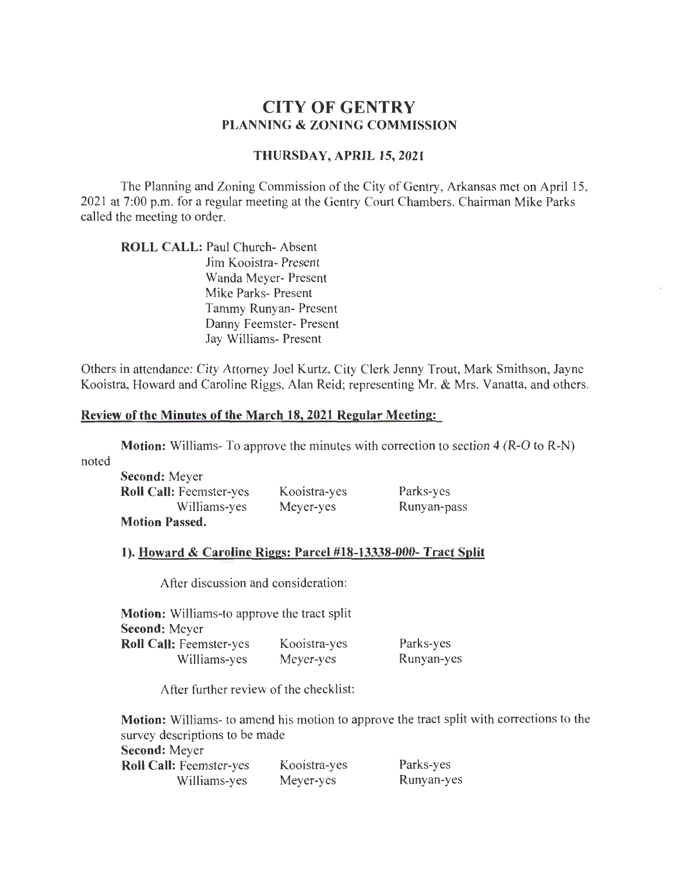# **CITY OF GENTRY PLANNING & ZONING COMMISSION**

# **THURSDAY, APRIL 15, 2021**

The Planning and Zoning Commission of the City of Gentry, Arkansas met on April 15, 2021 at 7:00 p.m. for a regular meeting at the Gentry Court Chambers. Chairman Mike Parks called the meeting to order.

**ROLL CALL:** Paul Church- Absent Jim Kooistra- Present Wanda Meyer- Present Mike Parks- Present Tammy Runyan- Present Danny Feemster- Present Jay Williams- Present

Others in attendance: City Attorney Joel Kurtz, City Clerk Jenny Trout, Mark Smithson, Jayne Kooistra, Howard and Caroline Riggs, Alan Reid; representing Mr. & Mrs. Vanatta, and others.

# **Review of the Minutes of the March 18, 2021 Regular Meeting:**

**Motion:** Williams- To approve the minutes with correction to section 4 (R-O to R-N)

noted

| <b>Second: Meyer</b>           |              |             |
|--------------------------------|--------------|-------------|
| <b>Roll Call: Feemster-yes</b> | Kooistra-yes | Parks-yes   |
| Williams-yes                   | Meyer-yes    | Runyan-pass |
| <b>Motion Passed.</b>          |              |             |

#### **1). Howard & Caroline Riggs: Parcel #18-13338-000- Tract Split**

After discussion and consideration:

| <b>Motion:</b> Williams-to approve the tract split |              |            |
|----------------------------------------------------|--------------|------------|
| <b>Second:</b> Meyer                               |              |            |
| <b>Roll Call: Feemster-yes</b>                     | Kooistra-yes | Parks-yes  |
| Williams-yes                                       | Meyer-yes    | Runyan-yes |

After further review of the checklist:

**Motion:** Williams- to amend his motion to approve the tract split with corrections to the survey descriptions to be made **Second:** Meyer **Roll Call:** Feemster-yes Williams-yes Kooistra-yes Meyer-yes Parks-yes Runyan-yes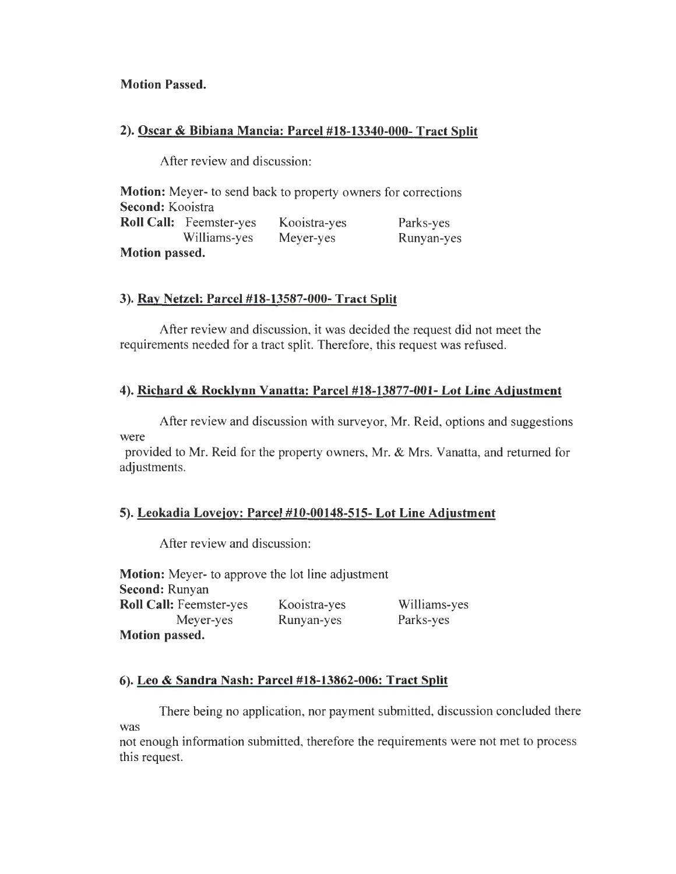# **Motion Passed.**

# **2). Oscar & Bibiana Mancia: Parcel #18-13340-000- Tract Split**

After review and discussion:

**Motion:** Meyer- to send back to property owners for corrections **Second:** Kooistra **Roll Call:** Feemster-yes Williams-yes **Motion passed.**  Kooistra-yes Meyer-yes Parks-yes Runyan-yes

# **3). Ray Netzel: Parcel #18-13587-000- Tract Split**

After review and discussion, it was decided the request did not meet the requirements needed for a tract split. Therefore, this request was refused.

# **4). Richard & Rocklynn Vanatta: Parcel #18-13877-001- Lot Line Adjustment**

After review and discussion with surveyor, Mr. Reid, options and suggestions were

provided to Mr. Reid for the property owners, Mr. & Mrs. Vanatta, and returned for adjustments.

# **5). Leokadia Lovejoy: Parcel #10-00148-515- Lot Line Adjustment**

After review and discussion:

**Motion:** Meyer- to approve the lot line adjustment **Second:** Runyan **Roll Call:** Feemster-yes Meyer-yes **Motion passed.**  Kooistra-yes Runyan-yes Williams-yes Parks-yes

# **6). Leo & Sandra Nash: Parcel #18-13862-006: Tract Split**

There being no application, nor payment submitted, discussion concluded there was

not enough information submitted, therefore the requirements were not met to process this request.